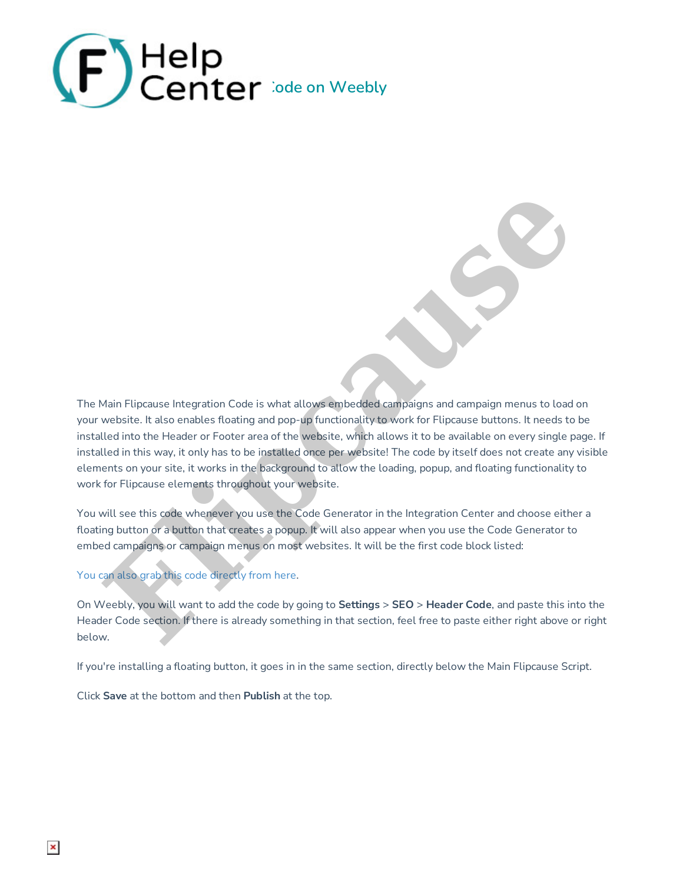

The Main Flipcause Integration Code is what allows embedded campaigns and campaign menus to load on your website. It also enables floating and pop-up functionality to work for Flipcause buttons. It needs to be installed into the Header or Footer area of the website, which allows it to be available on every single page. If installed in this way, it only has to be installed once per website! The code by itself does not create any visible elements on your site, it works in the background to allow the loading, popup, and floating functionality to work for Flipcause elements throughout your website. Main Flipcause Integration Code is what allows eighed ded campaigns and campaign menus to load<br>website. It also conables floating and pop-up functionality to work for Flipcause buttons. It needs to<br>lead in this way, it onl

You will see this code whenever you use the Code Generator in the Integration Center and choose either a floating button or a button that creates a popup. It will also appear when you use the Code Generator to embed campaigns or campaign menus on most websites. It will be the first code block listed:

You can also grab this code directly from here.

On Weebly, you will want to add the code by going to **Settings** > **SEO** > **Header Code**, and paste this into the Header Code section. If there is already something in that section, feel free to paste either right above or right below.

If you're installing a floating button, it goes in in the same section, directly below the Main Flipcause Script.

Click **Save** at the bottom and then **Publish** at the top.